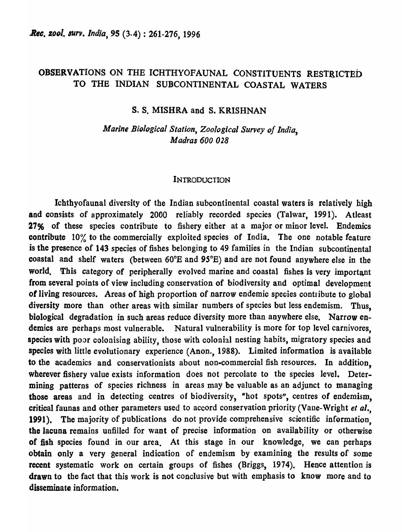# OBSERVATIONS ON THE ICHTIfYOFAUNAL CONSTITUENTS RESTRICTED TO THE INDIAN SUBCONTINENTAL COASTAL WATERS

# s. S. MISHRA and S. KRISHNAN

*Marine BiDlogical Station, Zoological Survey of India, Madras 600 028* 

#### INTRODUCTION

Ichthyofaunal diversity of the Indian subcontinental coastal waters is relatively high and consists of approximately 2000 reliably recorded species (Talwar, 1991). Atleast 27% of these species contribute to fishery either at a major or minor level. Endemics contribute 10% to the commercially exploited species of India. The one notable feature is the presence of 143 species of fishes belonging to 49 families in the Indian subcontinental coastal and shelf waters (between  $60^{\circ}E$  and  $95^{\circ}E$ ) and are not found anywhere else in the world. This category of peripherally evolved marine and coastal fishes is very important from several points of view including conservation of biodiversity and optimal development of living resources. Areas of high proportion of narrow endemic species contribute to global diversity more than other areas with similar numbers of species but less endemism. Thus, biological degradation in such areas reduce diversity more than anywhere else. Narrow endemics are perhaps most vulnerable. Natural vulnerability is more for top level carnivores, species with poor colonising ability, those with colonial nesting habits, migratory species and species with little evolutionary experience (Anon., 1988). Limited information is available to the academics and conservationists about non-commercial fish resources. In addition, wherever fishery value exists information does not percolate to the species level. Determining patterns of species richness in areas may be valuable as an adjunct to managing those areas and in detecting centres of biodiversity, "hot spots", centres of endemism, critical faunas and other parameters used to accord conservation priority (Vane-Wright *et al.,*  1991). The majority of publications do not provide comprehensive scientific information, the lacuna remains unfilled for want of precise information on availability or otherwise of fish species found in our area. At this stage in our knowledge, we can perhaps obtain only a very general indication of endemism by examining the results of some recent systematic work on certain groups of fishes (Briggs, 1974). Hence attention is drawn to the fact that this work is not conclusive but with emphasis to know more and to disseminate information.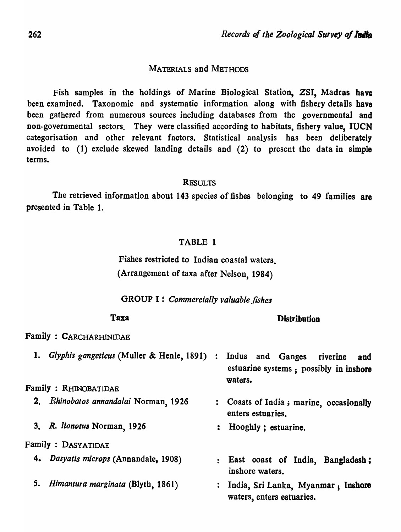# MATERIALS and METHODS

Fish samples in the holdings of Marine Biological Station, ZSI, Madras have been examined. Taxonomic and systematic information along with fishery details have been gathered from numerous sources including databases from the governmental and non-governmental sectors. They were classified according to habitats, fishery value, IUCN categorisation and other relevant factors. Statistical analysis has been deliberately avoided to (1) exclude skewed landing details and (2) to present the data in simple terms.

# **RESULTS**

The retrieved information about 143 species of fishes belonging to 49 families are presented in Table 1.

# TABLE 1

Fishes restricted to Indian coastal waters. (Arrangement of taxa after Nelson, 1984)

# GROUP I : *Commercially valuable fishes*

#### Taxa

#### **Distribution**

Family : CARCHARHlNIDAE

| 1. Glyphis gangeticus (Muller & Henle, 1891) : | Indus and Ganges riverine<br>and<br>estuarine systems; possibly in inshore<br>waters. |
|------------------------------------------------|---------------------------------------------------------------------------------------|
| Family : RHINOBATIDAE                          |                                                                                       |
| 2. Rhinobatos annandalai Norman, 1926          | : Coasts of India; marine, occasionally<br>enters estuaries.                          |
| 3. R. lionotus Norman, 1926                    | : Hooghly; estuarine.                                                                 |
| <b>Family: DASYATIDAE</b>                      |                                                                                       |
| 4. Dasyatis microps (Annandale, 1908)          | : East coast of India, Bangladesh;<br>inshore waters.                                 |
| 5. Himantura marginata (Blyth, 1861)           | : India, Sri Lanka, Myanmar ; Inshore<br>waters, enters estuaries.                    |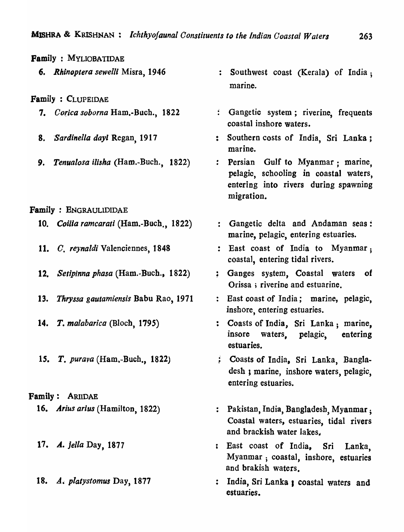Family: MYLIOBATIDAE

*6. Rhinoptera sewell;* Misra, 1946

Family : CLUPEIDAE

- 7. Corica soborna Ham.-Buch., 1822
- 8. *'Sardinella dayl* Regan, 1911
- 9. *Tenualosa ilisha* (Ham.-Buch., 1822)

Family : BNGRAULIDIDAE

- *10. Coilla ramearali* (Ham.-Buch., 1822)
- 11. C. *reynaldi* Valenciennes, 1848
- *12. Selipinna phasa* (Ham.-Buch., 1822)
- *13. Thryssa gautamiensis* Babu Rao, 1971
- *14. T. malabarica* (Bloch, 1795)
- IS. T. *purava* (Ham.-Buch., 1822)

# Family: ARIIDAE

- *16. Arius arius* (Hamilton, 1822)
- 17. A. *jella* Day, 1877
- *18. A. plalystomus* Day, 1877
- : Southwest coast (Kerala) of India; marine.
- : Gangetic system; riverine, frequents coastal inshore waters.
- : Southern costs of India, Sri Lanka; marine.
- : Persian Gulf to Myanmar : marine. pelagic, schooling in coastal waters, entering into rivers during spawning migration.
- : Gangetic delta and Andaman seas: marine, pelagic, entering estuaries.
- : East coast of India to Myanmar; coastal, entering tidal rivers.
- ; Ganges system, Coastal waters of Orissa; riverine and estuarine.
- : East coast of India; marine, pelagic, inshore, entering estuaries.
- : Coasts of India, Sri Lanka; marine, insore wa ters, pelagic, en tering estuaries.
- ; Coasts of India, Sri Lanka, Bangladesh *y* marine, inshore waters, pelagic, entering estuaries.
- : Pakistan, India, Bangladesh, Myanmar; Coastal waters, estuaries, tidal rivers and brackish water lakes.
- : East coast of India, Sri Lanka, Myanmar; coastal, inshore, estuaries and brakish waters.
- : India, Sri Lanka ; coastal waters and estuaries.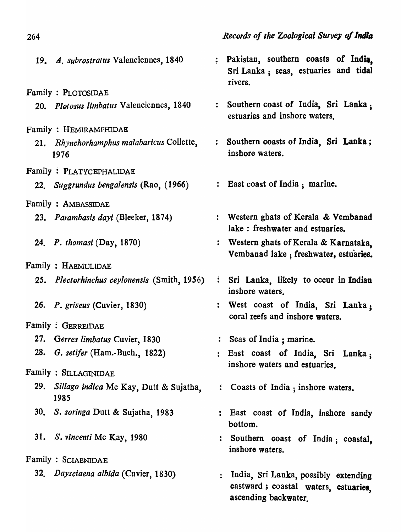| Records of the Zoological Survey of India |  |  |  |  |
|-------------------------------------------|--|--|--|--|
|-------------------------------------------|--|--|--|--|

| 19. A. subrostratus Valenciennes, 1840             | : Pakistan, southern coasts of India,<br>Sri Lanka; seas, estuaries and tidal<br>rivers.             |
|----------------------------------------------------|------------------------------------------------------------------------------------------------------|
| Family: PLOTOSIDAE                                 |                                                                                                      |
| 20. Plotosus limbatus Valenciennes, 1840           | : Southern coast of India, Sri Lanka,<br>estuaries and inshore waters.                               |
| Family : HEMIRAMPHIDAE                             |                                                                                                      |
| 21. Rhynchorhamphus malabaricus Collette,<br>1976  | Southern coasts of India, Sri Lanka;<br>inshore waters.                                              |
| Family: PLATYCEPHALIDAE                            |                                                                                                      |
| 22. Suggrundus bengalensis (Rao, (1966)            | : East coast of India; marine.                                                                       |
| <b>Family: AMBASSIDAE</b>                          |                                                                                                      |
| 23. Parambasis dayi (Bleeker, 1874)                | : Western ghats of Kerala & Vembanad<br>lake: freshwater and estuaries.                              |
| 24. P. thomasi (Day, 1870)                         | : Western ghats of Kerala & Karnataka,<br>Vembanad lake; freshwater, estuaries.                      |
| Family: HAEMULIDAE                                 |                                                                                                      |
| 25. Plectorhinchus ceylonensis (Smith, 1956)       | Sri Lanka, likely to occur in Indian<br>inshore waters.                                              |
| 26. P. griseus (Cuvier, 1830)                      | : West coast of India, Sri Lanka;<br>coral reefs and inshore waters.                                 |
| <b>Family: GERREIDAE</b>                           |                                                                                                      |
| 27. Gerres limbatus Cuvier, 1830                   | Seas of India; marine.                                                                               |
| 28. <i>G. setifer</i> (Ham.-Buch., 1822)           | : East coast of India, Sri Lanka;<br>inshore waters and estuaries.                                   |
| Family : SILLAGINIDAE                              |                                                                                                      |
| 29. Sillago indica Mc Kay, Dutt & Sujatha,<br>1985 | : Coasts of India; inshore waters.                                                                   |
| 30. S. soringa Dutt & Sujatha, 1983                | : East coast of India, inshore sandy<br>bottom.                                                      |
| 31. S. vincenti Mc Kay, 1980                       | : Southern coast of India; coastal,<br>inshore waters.                                               |
| Family: SCIAENIDAE                                 |                                                                                                      |
| 32. Daysciaena albida (Cuvier, 1830)               | India, Sri Lanka, possibly extending<br>eastward; coastal waters, estuaries,<br>ascending backwater. |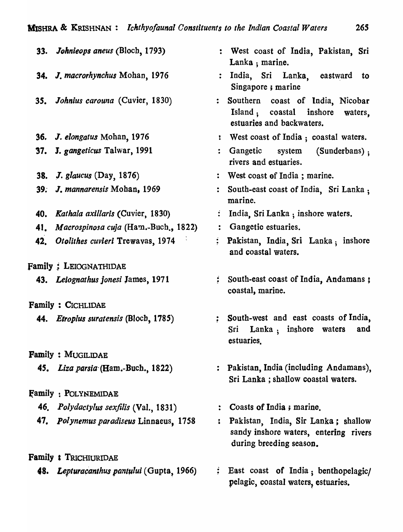|     | 33. Johnieops aneus (Bloch, 1793)            |                  | : West coast of India, Pakistan, Sri<br>Lanka; marine.                                                  |
|-----|----------------------------------------------|------------------|---------------------------------------------------------------------------------------------------------|
|     | 34. J. macrorhynchus Mohan, 1976             |                  | : India, Sri Lanka, eastward to<br>Singapore; marine                                                    |
|     | 35. Johnius carouna (Cuvier, 1830)           |                  | : Southern coast of India, Nicobar<br>Island; coastal inshore waters,<br>estuaries and backwaters.      |
|     | 36. J. elongatus Mohan, 1976                 |                  | : West coast of India; coastal waters.                                                                  |
|     | 37. J. gangeticus Talwar, 1991               |                  | Gangetic system (Sunderbans);<br>rivers and estuaries.                                                  |
|     | <b>38.</b> J. glaucus (Day, 1876)            |                  | : West coast of India; marine.                                                                          |
|     | 39. J. mannarensis Mohan, 1969               |                  | South-east coast of India, Sri Lanka;<br>marine.                                                        |
|     | 40. Kathala axillaris (Cuvier, 1830)         |                  | India, Sri Lanka; inshore waters.                                                                       |
|     | 41. Macrospinosa cuja (Ham.-Buch., 1822)     | $\ddot{\bullet}$ | Gangetic estuaries.                                                                                     |
| 42. | Otolithes cuvieri Trewayas, 1974             | $\ddot{\bullet}$ | Pakistan, India, Sri Lanka; inshore<br>and coastal waters.                                              |
|     | <b>Family: LEIOGNATHIDAE</b>                 |                  |                                                                                                         |
|     | 43. Leiognathus jonesi James, 1971           |                  | : South-east coast of India, Andamans;<br>coastal, marine.                                              |
|     | Family: CICHLIDAE                            |                  |                                                                                                         |
|     | 44. <i>Etroplus suratensis</i> (Bloch, 1785) |                  | South-west and east coasts of India,<br>Lanka, inshore waters<br>Sri<br>and<br>estuaries.               |
|     | <b>Family: MUGILIDAE</b>                     |                  |                                                                                                         |
|     | 45. Liza parsia (Ham.-Buch., 1822)           |                  | : Pakistan, India (including Andamans),<br>Sri Lanka; shallow coastal waters.                           |
|     | <b>Family: POLYNEMIDAE</b>                   |                  |                                                                                                         |
|     | 46. Polydactylus sexfilis (Val., 1831)       |                  | Coasts of India; marine.                                                                                |
|     | 47. Polynemus paradiseus Linnaeus, 1758      | :                | Pakistan, India, Sir Lanka; shallow<br>sandy inshore waters, entering rivers<br>during breeding season. |
|     | <b>Family : TRICHIURIDAE</b>                 |                  |                                                                                                         |
|     | 48. Lepturacanthus pantului (Gupta, 1966)    |                  | : East coast of India; benthopelagic/<br>pelagic, coastal waters, estuaries.                            |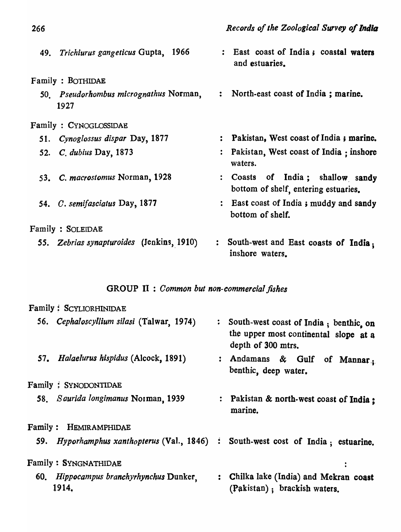| 49. Trichiurus gangeticus Gupta, 1966          | : East coast of India; coastal waters<br>and estuaries.                  |
|------------------------------------------------|--------------------------------------------------------------------------|
| Family: BOTHIDAE                               |                                                                          |
| 50. Pseudorhombus micrognathus Norman,<br>1927 | : North-east coast of India; marine.                                     |
| Family: CYNOGLOSSIDAE                          |                                                                          |
| 51. Cynoglossus dispar Day, 1877               | : Pakistan, West coast of India; marine.                                 |
| 52. C. dubius Day, 1873                        | : Pakistan, West coast of India : inshore<br>waters.                     |
| 53. C. macrostomus Norman, 1928                | : Coasts of India; shallow sandy<br>bottom of shelf, entering estuaries. |
| 54. C. semifasciatus Day, 1877                 | : East coast of India; muddy and sandy<br>bottom of shelf.               |
| Family : SOLEIDAE                              |                                                                          |
| 55. Zebrias synapturoides (Jenkins, 1910)      | South-west and East coasts of India;<br>inshore waters.                  |

# GROUP II : *Common but non-commercial fishes*

|                | Family: SCYLIORHINIDAE                           |                                                                                                         |
|----------------|--------------------------------------------------|---------------------------------------------------------------------------------------------------------|
|                | 56. Cephaloscyllium silasi (Talwar, 1974)        | : South-west coast of India; benthic. on<br>the upper most continental slope at a<br>depth of 300 mtrs. |
|                | 57. Halaelurus hispidus (Alcock, 1891)           | : Andamans & Gulf<br>of Mannar.<br>benthic, deep water.                                                 |
|                | Family: SYNODONTIDAE                             |                                                                                                         |
|                | 58. Saurida longimanus Norman, 1939              | : Pakistan & north-west coast of India ;<br>marine.                                                     |
| <b>Family:</b> | Hemiramphidae                                    |                                                                                                         |
|                | 59. Hyporhamphus xanthopterus (Val., 1846) :     | South-west cost of India; estuarine.                                                                    |
|                | Family: SYNGNATHIDAE                             |                                                                                                         |
|                | 60. Hippocampus branchyrhynchus Dunker.<br>1914. | : Chilka lake (India) and Mekran coast<br>(Pakistan); brackish waters.                                  |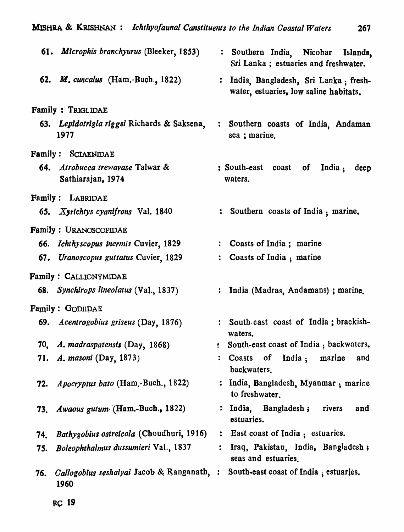| $\mu$ , $\mu$ , $\mu$ , $\mu$ , $\mu$ , $\mu$ , $\mu$ , $\mu$ , $\mu$ , $\mu$ , $\mu$ , $\mu$ , $\mu$ , $\mu$ , $\mu$ , $\mu$ , $\mu$ , $\mu$ , $\mu$ , $\mu$ , $\mu$ , $\mu$ , $\mu$ , $\mu$ , $\mu$ , $\mu$ , $\mu$ , $\mu$ , $\mu$ , $\mu$ , $\mu$ , $\mu$ , $\mu$ , $\mu$ , $\mu$ , $\mu$ , $\mu$ , | 20 I                                                                             |
|---------------------------------------------------------------------------------------------------------------------------------------------------------------------------------------------------------------------------------------------------------------------------------------------------------|----------------------------------------------------------------------------------|
| 61. Microphis branchyurus (Bleeker, 1853)                                                                                                                                                                                                                                                               | : Southern India, Nicobar Islands,<br>Sri Lanka; estuaries and freshwater.       |
| 62. <i>M. cuncalus</i> (Ham.-Buch., 1822)                                                                                                                                                                                                                                                               | : India, Bangladesh, Sri Lanka; fresh-<br>water, estuaries, low saline habitats. |
| Family : TRIGLIDAE                                                                                                                                                                                                                                                                                      |                                                                                  |
| 63. Lepidotrigla riggsi Richards & Saksena,<br>1977                                                                                                                                                                                                                                                     | : Southern coasts of India, Andaman<br>sea; marine.                              |
| <b>Family: SCIAENIDAE</b>                                                                                                                                                                                                                                                                               |                                                                                  |
| 64. Atrobucca trewayase Talwar &<br>Sathiarajan, 1974                                                                                                                                                                                                                                                   | : South-east coast<br>India :<br>of<br>deep<br>waters.                           |

Family: LABRIDAE

- *65. X,richtys cyanifrons* Val. 1840
- Family : URANOSCOPIDAE
	- *66. [chthyscopus inernlis* Cuvier, 1829
	- 67. Uranoscopus guttatus Cuvier, 1829
- Family: CALLIONYMIDAE
	- *68. Synchirops lineolatus* (Va!., 1837)
- Family: GODIlPAE
	- 69. *Acentrogobius griseus* (Oay, 1876)
	- *70. A. madraspatensis* (Day, 1868)
	- 71. *A. masoni* (Day, 1873)
	- *72. Apocryptus bato* (Ham.-Buch., 1822)
	- *73. Awaous gutum·* '(Ham.-Bueh .• 1822)
	- *74. Bathygobius ostreicola* (Choudhuri, 1916)
	- *75. Boleophthalmus dussumieri* Val., 1837
	- 76. Callogobius seshaiyai Jacob & Ranganath, : South-east coast of India, estuaries. 1960
- 
- : Southern coasts of India; marine.
- Coasts of India; marine
- Coasts of India; marine  $\ddot{\cdot}$
- : India (Madras, Andamans); marine.
- South. east coast of India; brackishwaters.
- ! South-east coast of India; backwaters.
- : Coasts of India; marine and backwaters.
- : India, Bangladesh, Myanmar ; marine to freshwater.
- : India, Bangladesh; rivers and estuaries.
- : East coast of India; estuaries.
- : Iraq, Pakistan, India. Bangladesh; seas and estuaries.
-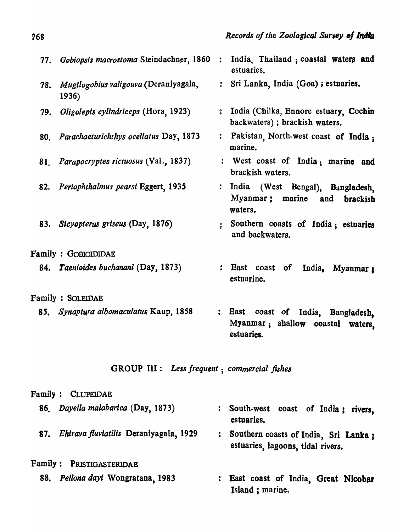| 77. | Gobiopsis macrostoma Steindachner, 1860        | $\ddot{\cdot}$   | India, Thailand; coastal waters and<br>estuaries.                                        |
|-----|------------------------------------------------|------------------|------------------------------------------------------------------------------------------|
| 78. | Mugilogobius valigouva (Deraniyagala,<br>1936) |                  | : Sri Lanka, India (Goa) ; estuaries.                                                    |
| 79. | Oligolepis cylindriceps (Hora, 1923)           |                  | : India (Chilka, Ennore estuary, Cochin<br>backwaters); brackish waters.                 |
|     | 80. Parachaeturichthys ocellatus Day, 1873     |                  | : Pakistan North-west coast of India ;<br>marine.                                        |
|     | 81. Parapocryptes rictuosus (Val., 1837)       |                  | : West coast of India; marine and<br>brackish waters.                                    |
| 82. | Periophthalmus pearsi Eggert, 1935             |                  | : India (West Bengal), Bangladesh,<br>Myanmar; marine and<br>brackish<br>waters.         |
| 83. | Sicyopterus griseus (Day, 1876)                |                  | Southern coasts of India; estuaries<br>and backwaters.                                   |
|     | Family: GOBIOIDIDAE                            |                  |                                                                                          |
|     | 84. Taenioides buchanani (Day, 1873)           |                  | : East coast<br>India, Myanmar 1<br>of<br>estuarine.                                     |
|     | Family : SOLEIDAE                              |                  |                                                                                          |
|     | 85, Synaptura albomaculatus Kaup, 1858         | $\ddot{\bullet}$ | East<br>coast of India, Bangladesh,<br>Myanmar; shallow coastal<br>waters,<br>estuaries. |
|     | GROUP III : Less frequent ; commercial fishes  |                  |                                                                                          |
|     | Family : CLUPEIDAE                             |                  |                                                                                          |

| 86. Dayella malabarica (Day, 1873)         | : South-west coast of India; rivers.<br>estuaries.                           |
|--------------------------------------------|------------------------------------------------------------------------------|
| 87. Ehirava fluviatilis Deraniyagala, 1929 | : Southern coasts of India, Sri Lanka :<br>estuaries, lagoons, tidal rivers. |
| Family: PRISTIGASTERIDAE                   |                                                                              |

*88. pellona dayi* Wongratana, 1983

: East coast of India, Great Nicobar Island ; marine.

268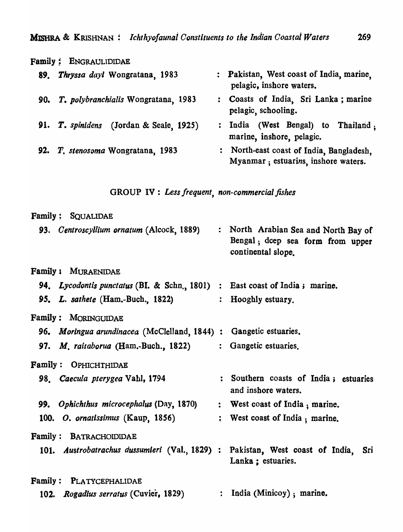| <b>Family: ENGRAULIDIDAE</b>            |                                                                                 |
|-----------------------------------------|---------------------------------------------------------------------------------|
| Thryssa dayi Wongratana, 1983<br>89.    | : Pakistan, West coast of India, marine,<br>pelagic, inshore waters.            |
| 90. T. polybranchialis Wongratana, 1983 | Coasts of India, Sri Lanka; marine<br>$\ddot{\bullet}$<br>pelagic, schooling.   |
| 91. T. spinidens (Jordan & Seale, 1925) | : India (West Bengal) to Thailand:<br>marine, inshore, pelagic.                 |
| 92. T. stenosoma Wongratana, 1983       | : North-east coast of India, Bangladesh,<br>Myanmar; estuarins, inshore waters. |

# GROUP IV : *Less frequent, non-commercial fishes*

| <b>Family: SQUALIDAE</b>                                                      |                                                                                                |
|-------------------------------------------------------------------------------|------------------------------------------------------------------------------------------------|
| 93. Centroscyllium ornatum (Alcock, 1889)                                     | : North Arabian Sea and North Bay of<br>Bengal; dcep sea form from upper<br>continental slope. |
| Family : MURAENIDAE                                                           |                                                                                                |
| 94. Lycodontis punctatus (BI. & Schn., 1801) : East coast of India; marine.   |                                                                                                |
| 95. L. sathete (Ham.-Buch., 1822)                                             | : Hooghly estuary.                                                                             |
| Family: MORINGUIDAE                                                           |                                                                                                |
| 96. Moringua arundinacea (McClelland, 1844):                                  | Gangetic estuaries.                                                                            |
| 97. M. raitaborua (Ham.-Buch., 1822)                                          | : Gangetic estuaries.                                                                          |
| Family: OPHICHTHIDAE                                                          |                                                                                                |
| 98. Caecula pterygea Vahl, 1794                                               | : Southern coasts of India; estuaries<br>and inshore waters.                                   |
| 99. Ophichthus microcephalus (Day, 1870)                                      | : West coast of India, marine.                                                                 |
|                                                                               |                                                                                                |
| 100. O. ornatissimus (Kaup, 1856)                                             | : West coast of India; marine.                                                                 |
| <b>Family: BATRACHOIDIDAE</b>                                                 |                                                                                                |
| 101. Austrobatrachus dussumieri (Val., 1829) : Pakistan, West coast of India, | Sri<br>Lanka ; estuaries.                                                                      |
| Family: PLATYCEPHALIDAE                                                       |                                                                                                |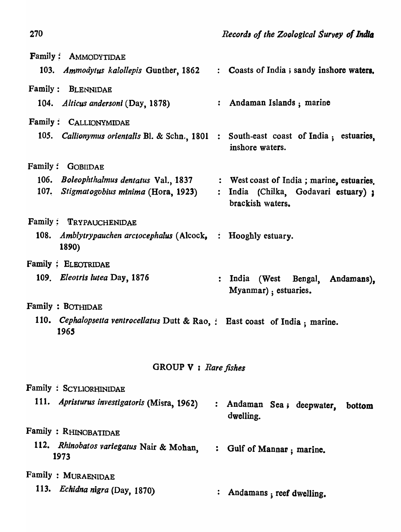| Family: AMMODYTIDAE                                                                   |                  |                                                          |
|---------------------------------------------------------------------------------------|------------------|----------------------------------------------------------|
| 103. Ammodytus kalollepis Gunther, 1862                                               |                  | : Coasts of India; sandy inshore waters.                 |
| Family: BLENNIDAE                                                                     |                  |                                                          |
| 104. Alticus andersoni (Day, 1878)                                                    |                  | : Andaman Islands; marine                                |
| Family: CALLIONYMIDAE                                                                 |                  |                                                          |
| 105. Callionymus orientalis Bl. & Schn., 1801 : South-east coast of India; estuaries, |                  | inshore waters.                                          |
| Family: GOBIIDAE                                                                      |                  |                                                          |
| 106. Boleophthalmus dentatus Val., 1837                                               |                  | : West coast of India; marine, estuaries.                |
| 107. Stigmatogobius minima (Hora, 1923)                                               |                  | : India (Chilka, Godavari estuary);<br>brackish waters.  |
| Family: TRYPAUCHENIDAE                                                                |                  |                                                          |
| 108. <i>Amblytrypauchen arctocephalus</i> (Alcock, : Hooghly estuary.<br>1890)        |                  |                                                          |
| <b>Family: ELEOTRIDAE</b>                                                             |                  |                                                          |
| 109. Eleotris lutea Day, 1876                                                         |                  | : India (West Bengal, Andamans),<br>Myanmar); estuaries. |
| Family: BOTHIDAE                                                                      |                  |                                                          |
| 110. Cephalopsetta ventrocellatus Dutt & Rao, : East coast of India; marine.<br>1965  |                  |                                                          |
| GROUP $V$ : Rare fishes                                                               |                  |                                                          |
| Family : SCYLIORHINIDAE                                                               |                  |                                                          |
| 111. <i>Apristurus investigatoris</i> (Misra, 1962)                                   |                  | : Andaman Sea; deepwater,<br>bottom<br>dwelling.         |
| Family : RHINOBATIDAE                                                                 |                  |                                                          |
| 112. Rhinobatos variegatus Nair & Mohan,<br>1973                                      | $\ddot{\bullet}$ | Gulf of Mannar; marine.                                  |
| <b>Family : MURAENIDAE</b>                                                            |                  |                                                          |
| 113. Echidna nigra (Day, 1870)                                                        |                  | Andamans, reef dwelling.                                 |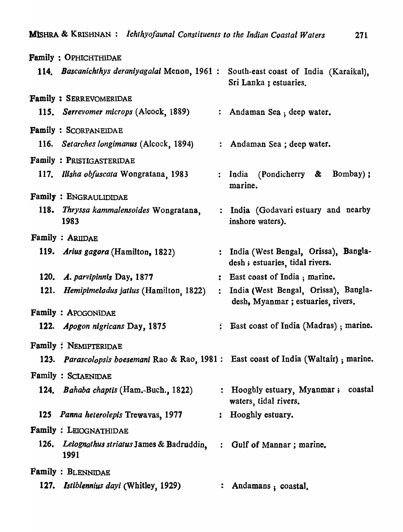|      | Family: OPHICHTHIDAE                                                                   |                  |                                                                            |
|------|----------------------------------------------------------------------------------------|------------------|----------------------------------------------------------------------------|
|      | 114. Bascanichthys deraniyagalai Menon, 1961:                                          |                  | South-east coast of India (Karaikal),<br>Sri Lanka; estuaries.             |
|      | <b>Family: SERREVOMERIDAE</b>                                                          |                  |                                                                            |
|      | 115. Serrevomer microps (Alcock, 1889)                                                 |                  | : Andaman Sea ; deep water.                                                |
|      | <b>Family: SCORPANEIDAE</b>                                                            |                  |                                                                            |
|      | 116. Setarches longimanus (Alcock, 1894)                                               |                  | : Andaman Sea ; deep water.                                                |
|      | Family : PRISTIGASTERIDAE                                                              |                  |                                                                            |
|      | 117. Ilisha obfuscata Wongratana, 1983                                                 |                  | : India (Pondicherry &<br>Bombay);<br>marine.                              |
|      | <b>Family: ENGRAULIDIDAE</b>                                                           |                  |                                                                            |
|      | 118. Thryssa kammalensoides Wongratana,<br>1983                                        |                  | : India (Godavari estuary and nearby<br>inshore waters).                   |
|      | <b>Family : ARIIDAE</b>                                                                |                  |                                                                            |
|      | 119. Arius gagora (Hamilton, 1822)                                                     |                  | : India (West Bengal, Orissa), Bangla-<br>desh; estuaries, tidal rivers.   |
|      | 120. A. parvipinnis Day, 1877                                                          |                  | : East coast of India; marine.                                             |
| 121. | <i>Hemipimeladus jatius</i> (Hamilton, 1822)                                           | $\ddot{\bullet}$ | India (West Bengal, Orissa), Bangla-<br>desh, Myanmar ; estuaries, rivers. |
|      | <b>Family: APOGONIDAE</b>                                                              |                  |                                                                            |
|      | 122. Apogon nigricans Day, 1875                                                        |                  | : East coast of India (Madras); marine.                                    |
|      | Family: NEMIPTERIDAE                                                                   |                  |                                                                            |
|      | 123. Parascolopsis boesemani Rao & Rao, 1981 : East coast of India (Waltair) ; marine. |                  |                                                                            |
|      | <b>Family: SCIAENIDAE</b>                                                              |                  |                                                                            |
|      | 124. <i>Bahaba chaptis</i> (Ham.-Buch., 1822)                                          |                  | : Hooghly estuary, Myanmar; coastal<br>waters, tidal rivers.               |
|      | 125 Panna heterolepis Trewavas, 1977                                                   |                  | : Hooghly estuary.                                                         |
|      | <b>Family: LEIOGNATHIDAE</b>                                                           |                  |                                                                            |
|      | 126. Leiognathus striatus James & Badruddin, : Gulf of Mannar; marine.<br>1991         |                  |                                                                            |
|      | <b>Family: BLENNIDAE</b>                                                               |                  |                                                                            |
|      | 127. Istiblennius dayi (Whitley, 1929)                                                 |                  | Andamans; coastal,                                                         |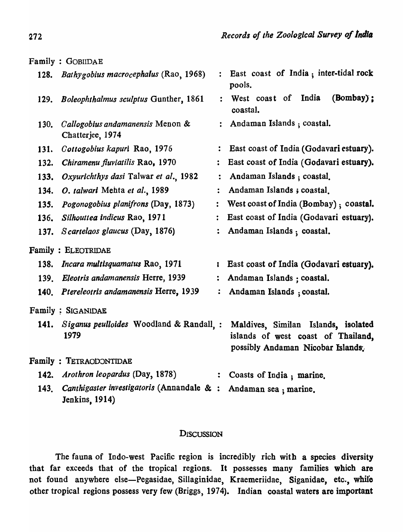|             | Family: GOBIIDAE                                             |                      |                                                                                                                |
|-------------|--------------------------------------------------------------|----------------------|----------------------------------------------------------------------------------------------------------------|
| 128.        | Bathygobius macrocephalus (Rao, 1968)                        | $\ddot{\cdot}$       | East coast of India; inter-tidal rock<br>pools.                                                                |
| 129.        | Boleophthalmus sculptus Gunther, 1861                        | $\ddot{\cdot}$       | $(Bombay)$ ;<br>West coast of India<br>coastal.                                                                |
| 130.        | Callogobius andamanensis Menon &<br>Chatterjee, 1974         |                      | : Andaman Islands; coastal.                                                                                    |
| 131.        | Cottogobius kapuri Rao, 1976                                 |                      | East coast of India (Godavari estuary).                                                                        |
| 132.        | Chiramenu fluviatilis Rao, 1970                              |                      | East coast of India (Godavari estuary).                                                                        |
| 133.        | Oxyurichthys dasi Talwar et al., 1982                        |                      | Andaman Islands ; coastal.                                                                                     |
| 134.        | O. talwari Mehta et al., 1989                                |                      | Andaman Islands; coastal.                                                                                      |
| 135.        | Pogonogobius planifrons (Day, 1873)                          | $\ddot{\bullet}$     | West coast of India (Bombay); coastal.                                                                         |
| <b>136.</b> | Silhouttea Indicus Rao, 1971                                 | $\ddot{\phantom{a}}$ | East coast of India (Godavari estuary).                                                                        |
| 137.        | Scartelaos glaucus (Day, 1876)                               |                      | Andaman Islands; coastal.                                                                                      |
|             | Family: ELEOTRIDAE                                           |                      |                                                                                                                |
|             | 138. Incara multisquamatus Rao, 1971                         | ĩ                    | East coast of India (Godavari estuary).                                                                        |
| <b>139.</b> | Eleotris andamanensis Herre, 1939                            |                      | Andaman Islands ; coastal.                                                                                     |
|             | 140. Ptereleotris andamanensis Herre, 1939                   |                      | Andaman Islands ; coastal.                                                                                     |
|             | Family : SIGANIDAE                                           |                      |                                                                                                                |
| 141.        | Siganus peulloides Woodland & Randall, :<br>1979             |                      | Maldives, Similan Islands, isolated<br>islands of west coast of Thailand,<br>possibly Andaman Nicobar Islands. |
|             | Family: TETRAODONTIDAE                                       |                      |                                                                                                                |
| 142.        | Arothron leopardus (Day, 1878)                               |                      | Coasts of India; marine.                                                                                       |
| 143.        | Canthigaster investigatoris (Annandale & :<br>Jenkins, 1914) |                      | Andaman sea ; marine.                                                                                          |

# **DISCUSSION**

The fauna of Indo-west Pacific region is incredibly rich with a species diversity that far exceeds that of the tropical regions. It possesses many families which are not found anywhere else-Pegasidae, Sillaginidae, Kraemeriidae, Siganidae, etc., while other tropical regions possess very few (Briggs, 1974). Indian coastal waters are important

272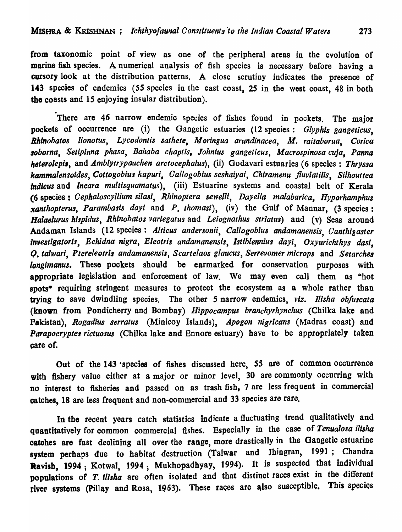from taxonomic point of view as one of the peripheral areas in the evolution of marine fish species. A numerical analysis of fish species is necessary before having a cursory look at the distribution patterns. A close scrutiny indicates the presence of 143 species of endemics *(SS* species in the east coast, *2S* in the west coast, 48 in both the coasts and 15 enjoying insular distribution).

There are 46 narrow endemic species of fishes found in pockets. The major pockets of occurrence are (i) the Gangetic estuaries (12 species: *Glyphis gangeticus*, Rhinobatos lionotus, Lycodontis sathete, Moringua arundinacea, M. raitaborua, Corica *8oborna, Setipinna phasa, Bahaba chaptis, Johnius gangeticus, Macrospinosa cuja, Panna heterolepi"* and *Amblytrypauchen arclocephalus),* (ii) Godavari estuaries (6 species: *Thryssa kammalensoidea, Cottogobius kapuri, Callogobius seshaiyai, Chiramenu j/uviatilis, Silhouttea Indlcus* and *lncara mullisquamatus),* (iii) Estuarine systems and coastal belt of Kerala (6 species: *Cephaloscyllium silasi, Rhinoptera sewelli, Dayella malabarica, Hyporhamphus xanthopterus, Parambasis dayi* and P. *thomasi*), (iv) the Gulf of Mannar, (3 species: *Balaelurus hispidus, Rhinobatos variegatus* and *Leiognathus strlatus)* and (v) Seas around Andaman Islands (12 species: Alticus andersonii, Callogobius andamanensis, Canthigaster *Investigatorls, Echidna nigra, Eleotris andamanensis, Istiblennius dayi, Oxyurichthys dasi,*  Q. *ta/wari, Ptereleotris andamanensis, Scarlelaos glaucus, Serrevomer mlcrops* and *Setarches longimanus*. These pockets should be earmarked for conservation purposes with appropriate legislation and enforcement of law. We may even call them as "hot spots<sup>\*</sup> requiring stringent measures to protect the ecosystem as a whole rather than trying to save dwindling species. The other S narrow endemics, *viz. lllsha obfuscata*  (known from Pondicherry and Bombay) *Hippocampus branchyrhynchus* (Chilka lake and Pakistan), *Rogadius serratus* (Minicoy Islands), *Apogon nigricans* (Madras coast) and *Parapocryptes rictuosus* (Chilka lake and Ennore estuary) have to be appropriately taken care of.

Out of the 143 'species of fishes discussed here, *S5* are of common occurrence with fishery value either at a major or minor level, 30 are commonly occurring with no interest to fisheries and passed on as trash fish, 7 are less frequent in commercial oatches, 18 are less frequent and non-commercial and 33 species are rare.

In the recent years catch statistics indicate a fluctuating trend qualitatively and quantitatively for common commercial fishes. EspecialJy in the case of *Tenualosa ilisha*  catches are fast declining all over the range, more drastically in the Gangetic estuarine system perhaps due to habitat destruction (Talwar and Jhingran, 1991; Chandra Ravish, 1994; Kotwal, 1994; Mukhopadhyay, 1994). It is suspected that individual populations of *T. ilisha* are often isolated and that distinct races exist in the different river systems (Pillay and Rosa, 1963). These races are also susceptible. This species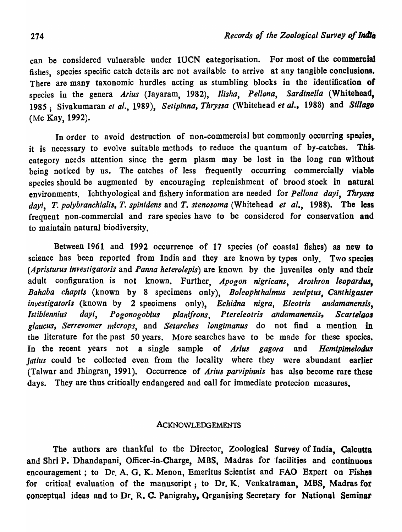can be considered vulnerable under IUCN categorisation. For most of the commercial fishes, species specific catch details are not available to arrive at any tangible conclusions. There are many taxonomic hurdles acting as stumbling blocks in the identification of species in the genera Arius (Jayaram, 1982), *Ilisha*, Pellona, Sardinella (Whitehead, 1985; Sivakumaran et al., 1989), Setipinna, Thryssa (Whitehead et al., 1988) and Sillago (Mc Kay, 1992).

In order to avoid destruction of non-commercial but commonly occurring species. it is necessary to evolve suitable methods to reduce the quantum of by-catches. This· category needs attention since the germ plasm may be lost in the long run without being noticed by us. The catches of less frequently occurring commercially viable species should be augmented by encouraging replenishment of brood stock in natural environments. Ichthyological and fishery information are needed for *Pel/ona dayi, Thryssa*  davi, T. polybranchialis, T. spinidens and T. stenosoma (Whitehead *et al.*, 1988). The less frequent non-commercial and rare species have to be considered for conservation and to maintain natural biodiversity.

Between 1961 and 1992 occurrence of 17 species (of coastal fishes) as new to science has been reported from India and they are known by types only. Two species *(Apristurus investigatoris* and *Panna heterolepis)* are known by the juveniles only and their adult configuration is not known. Further, Apogon nigricans, Arothron leopardus, *Bahaba chaptis* (known by 8 specimens only), *Boleophthalmus seu/ptus, Canthigaster investigatoris* (known by 2 specimens only), *Echidna nigra, Eleotris andamanensis*, Istiblennius dayi, Pogonogobius planifrons, Ptereleotris andamanensis, Scartelaos *glaucus, Serrevomer microps,* and *Setarches longimanus* do not find a mention in the literature for the past SO years. More searches have to be made for these species. In the recent years not a single sample of *Arius gagora* and *Hemipimelodua jatius* could be collected even from the locality where they were abundant earlier (Talwar and Jhingran, 1991). Occurrence of *Arius parvipinnis* has also become rare these days. They are thus critically endangered and call for immediate protecion measures.

### ACKNOWLEDGEMENTS

The authors are thankful to the Director, Zoological Survey of India, Calcutta and Shri P. Dhandapani, Officer-in-Charge, MBS, Madras for facilities and continuous encouragement; to Dr. A. G. K. Menon, Emeritus Scientist and FAO Expert on Fishes for critical evaluation of the manuscript; to Dr. K. Venkatraman, MBS, Madras for conceptual ideas and to Dr. R. C. Panigrahy, Organising Secretary for National Seminar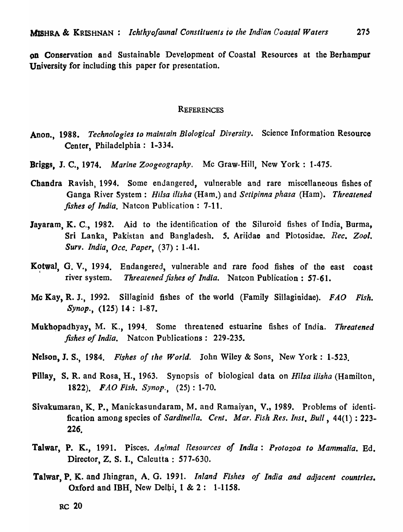on Conservation and Sustainable Development of Coastal Resources at the Berhampur University for including this paper for presentation.

#### **REFERENCES**

- Anon., 1988. *Technologies to maintain Biological Diversity*. Science Information Resource Center, Philadelphia: 1-334.
- Briggs, J. C., 1974. *Marine Zoogeography.* Mc Graw-Hill, New York: 1-475.
- Chandra Ravish, 1994. Some endangered, vulnerable and rare miscellaneous fishes of Ganga River System: *Hi/sa ilisha* (Ham.) and *Setipinna phasa* (Ham). *Threatened fishes of India.* Natcon Publication: 7-11.
- Jayaram, K. C., 1982. Aid to the identification of the Siluroid fishes of India, Burma, Sri Lanka, Pakistan and Bangladesh. S. Ariidae and Plotosidae. *Rec. Zool. Surv. India, Occ. Paper,* (37) : 1-41.
- Kotwal, G. V., 1994. Endangered, vulnerable and rare food fishes of the east coast river system. *Threatened fishes of India.* Natcon Publication: 57-61.
- Me Kay, R. J., 1992. SilJaginid fishes of the world (Family Sillaginidae). *FAO Fish. Synop.,* (125) 14: 1-87.
- Mukhopadhyay, M. K., 1994. Some threatened estuarine fishes of India. *Threatened fishes of India.* Natcon Publications: 229-235.
- Nelson, J. S., 1984. *Fishes of lite World.* John Wiley & Sons, New York: 1-523.
- Pillay, S. R. and Rosa, H., 1963. Synopsis of biological data on *Hi/sa ilisha* (Hamilton, *1822). FAD Fish. Synop.,* (25): 1-70.
- Sivakumaran, K. P., Manickasundaram, M. and Ramaiyan, V., 1989. Problems of identification among species of *Sardinella. Cent. Mar. Fish Res. Inst. Bull*, 44(1): 223- $226.$
- Talwar, P. K., 1991. Pisces. *An;mal Resources of India: Protozoa to Mammalia.* Ed. Director, Z. S. I., Calcutta : 577-630.
- Talwar, p. K. and Jhingran, A. G. 1991. *Inland Fishes of India and adjacent countries.*  Oxford and IBH, New De1bi, 1 & 2: 1-1158.